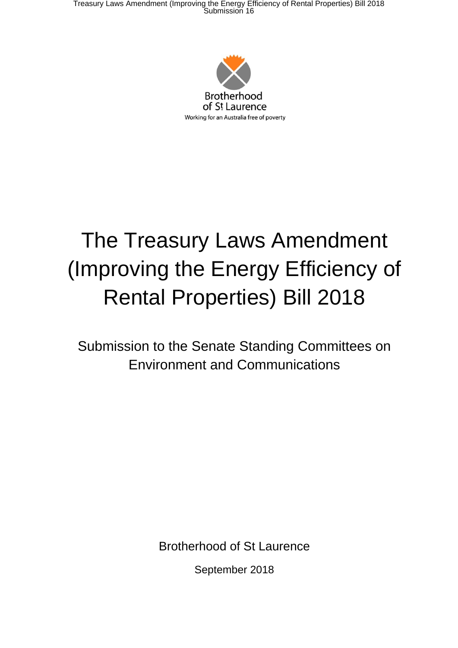Treasury Laws Amendment (Improving the Energy Efficiency of Rental Properties) Bill 2018 Submission 16



# The Treasury Laws Amendment (Improving the Energy Efficiency of Rental Properties) Bill 2018

Submission to the Senate Standing Committees on Environment and Communications

Brotherhood of St Laurence

September 2018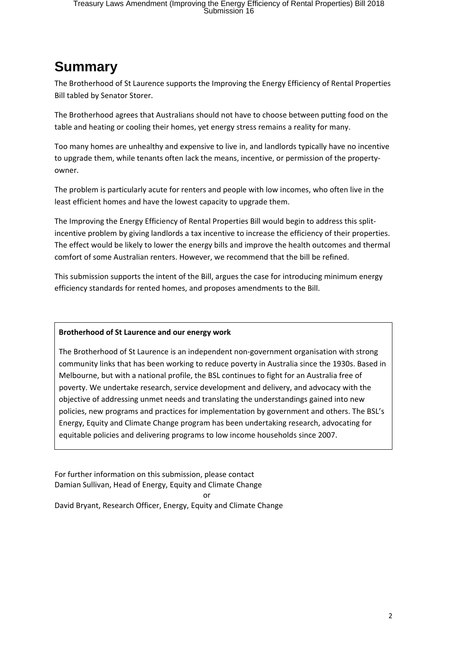### **Summary**

The Brotherhood of St Laurence supports the Improving the Energy Efficiency of Rental Properties Bill tabled by Senator Storer.

The Brotherhood agrees that Australians should not have to choose between putting food on the table and heating or cooling their homes, yet energy stress remains a reality for many.

Too many homes are unhealthy and expensive to live in, and landlords typically have no incentive to upgrade them, while tenants often lack the means, incentive, or permission of the property‐ owner.

The problem is particularly acute for renters and people with low incomes, who often live in the least efficient homes and have the lowest capacity to upgrade them.

The Improving the Energy Efficiency of Rental Properties Bill would begin to address this splitincentive problem by giving landlords a tax incentive to increase the efficiency of their properties. The effect would be likely to lower the energy bills and improve the health outcomes and thermal comfort of some Australian renters. However, we recommend that the bill be refined.

This submission supports the intent of the Bill, argues the case for introducing minimum energy efficiency standards for rented homes, and proposes amendments to the Bill.

#### **Brotherhood of St Laurence and our energy work**

The Brotherhood of St Laurence is an independent non‐government organisation with strong community links that has been working to reduce poverty in Australia since the 1930s. Based in Melbourne, but with a national profile, the BSL continues to fight for an Australia free of poverty. We undertake research, service development and delivery, and advocacy with the objective of addressing unmet needs and translating the understandings gained into new policies, new programs and practices for implementation by government and others. The BSL's Energy, Equity and Climate Change program has been undertaking research, advocating for equitable policies and delivering programs to low income households since 2007.

For further information on this submission, please contact Damian Sullivan, Head of Energy, Equity and Climate Change or

David Bryant, Research Officer, Energy, Equity and Climate Change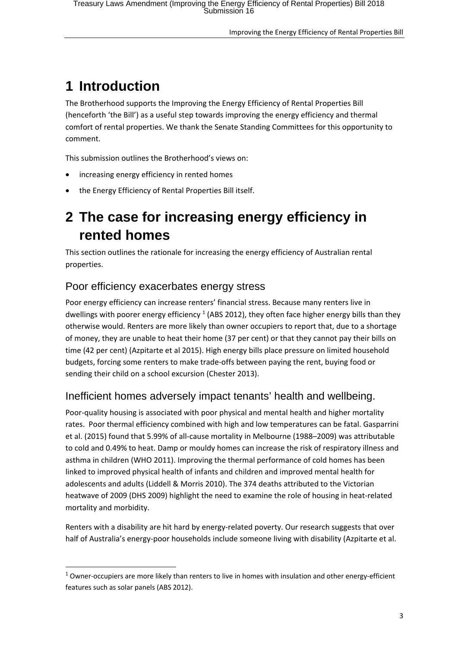# **1 Introduction**

The Brotherhood supports the Improving the Energy Efficiency of Rental Properties Bill (henceforth 'the Bill') as a useful step towards improving the energy efficiency and thermal comfort of rental properties. We thank the Senate Standing Committees for this opportunity to comment.

This submission outlines the Brotherhood's views on:

- increasing energy efficiency in rented homes
- the Energy Efficiency of Rental Properties Bill itself.

### **2 The case for increasing energy efficiency in rented homes**

This section outlines the rationale for increasing the energy efficiency of Australian rental properties.

#### Poor efficiency exacerbates energy stress

<u> Andrew Maria (1989)</u>

Poor energy efficiency can increase renters' financial stress. Because many renters live in dwellings with poorer energy efficiency  $1$  (ABS 2012), they often face higher energy bills than they otherwise would. Renters are more likely than owner occupiers to report that, due to a shortage of money, they are unable to heat their home (37 per cent) or that they cannot pay their bills on time (42 per cent) (Azpitarte et al 2015). High energy bills place pressure on limited household budgets, forcing some renters to make trade‐offs between paying the rent, buying food or sending their child on a school excursion (Chester 2013).

### Inefficient homes adversely impact tenants' health and wellbeing.

Poor-quality housing is associated with poor physical and mental health and higher mortality rates. Poor thermal efficiency combined with high and low temperatures can be fatal. Gasparrini et al. (2015) found that 5.99% of all‐cause mortality in Melbourne (1988–2009) was attributable to cold and 0.49% to heat. Damp or mouldy homes can increase the risk of respiratory illness and asthma in children (WHO 2011). Improving the thermal performance of cold homes has been linked to improved physical health of infants and children and improved mental health for adolescents and adults (Liddell & Morris 2010). The 374 deaths attributed to the Victorian heatwave of 2009 (DHS 2009) highlight the need to examine the role of housing in heat-related mortality and morbidity.

Renters with a disability are hit hard by energy-related poverty. Our research suggests that over half of Australia's energy-poor households include someone living with disability (Azpitarte et al.

 $1$  Owner-occupiers are more likely than renters to live in homes with insulation and other energy-efficient features such as solar panels (ABS 2012).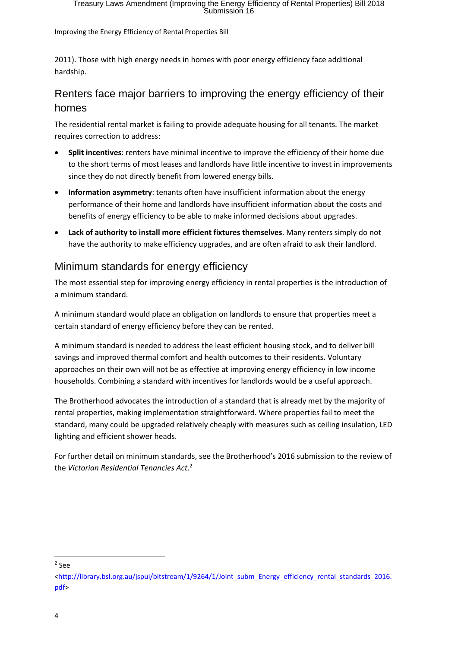2011). Those with high energy needs in homes with poor energy efficiency face additional hardship.

### Renters face major barriers to improving the energy efficiency of their homes

The residential rental market is failing to provide adequate housing for all tenants. The market requires correction to address:

- **Split incentives**: renters have minimal incentive to improve the efficiency of their home due to the short terms of most leases and landlords have little incentive to invest in improvements since they do not directly benefit from lowered energy bills.
- **Information asymmetry**: tenants often have insufficient information about the energy performance of their home and landlords have insufficient information about the costs and benefits of energy efficiency to be able to make informed decisions about upgrades.
- **Lack of authority to install more efficient fixtures themselves**. Many renters simply do not have the authority to make efficiency upgrades, and are often afraid to ask their landlord.

### Minimum standards for energy efficiency

The most essential step for improving energy efficiency in rental properties is the introduction of a minimum standard.

A minimum standard would place an obligation on landlords to ensure that properties meet a certain standard of energy efficiency before they can be rented.

A minimum standard is needed to address the least efficient housing stock, and to deliver bill savings and improved thermal comfort and health outcomes to their residents. Voluntary approaches on their own will not be as effective at improving energy efficiency in low income households. Combining a standard with incentives for landlords would be a useful approach.

The Brotherhood advocates the introduction of a standard that is already met by the majority of rental properties, making implementation straightforward. Where properties fail to meet the standard, many could be upgraded relatively cheaply with measures such as ceiling insulation, LED lighting and efficient shower heads.

For further detail on minimum standards, see the Brotherhood's 2016 submission to the review of the *Victorian Residential Tenancies Act*. 2

<u> Andrew Maria (1989)</u>

 $2$  See

<sup>&</sup>lt;http://library.bsl.org.au/jspui/bitstream/1/9264/1/Joint\_subm\_Energy\_efficiency\_rental\_standards\_2016. pdf>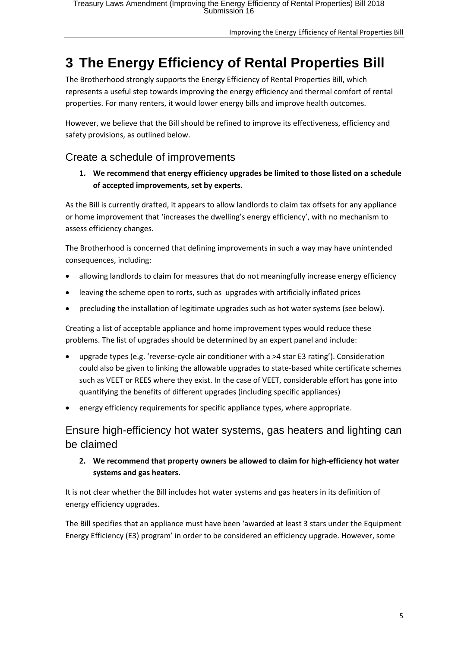# **3 The Energy Efficiency of Rental Properties Bill**

The Brotherhood strongly supports the Energy Efficiency of Rental Properties Bill, which represents a useful step towards improving the energy efficiency and thermal comfort of rental properties. For many renters, it would lower energy bills and improve health outcomes.

However, we believe that the Bill should be refined to improve its effectiveness, efficiency and safety provisions, as outlined below.

### Create a schedule of improvements

**1. We recommend that energy efficiency upgrades be limited to those listed on a schedule of accepted improvements, set by experts.** 

As the Bill is currently drafted, it appears to allow landlords to claim tax offsets for any appliance or home improvement that 'increases the dwelling's energy efficiency', with no mechanism to assess efficiency changes.

The Brotherhood is concerned that defining improvements in such a way may have unintended consequences, including:

- allowing landlords to claim for measures that do not meaningfully increase energy efficiency
- leaving the scheme open to rorts, such as upgrades with artificially inflated prices
- precluding the installation of legitimate upgrades such as hot water systems (see below).

Creating a list of acceptable appliance and home improvement types would reduce these problems. The list of upgrades should be determined by an expert panel and include:

- upgrade types (e.g. 'reverse‐cycle air conditioner with a >4 star E3 rating'). Consideration could also be given to linking the allowable upgrades to state‐based white certificate schemes such as VEET or REES where they exist. In the case of VEET, considerable effort has gone into quantifying the benefits of different upgrades (including specific appliances)
- energy efficiency requirements for specific appliance types, where appropriate.

Ensure high-efficiency hot water systems, gas heaters and lighting can be claimed

**2. We recommend that property owners be allowed to claim for high‐efficiency hot water systems and gas heaters.** 

It is not clear whether the Bill includes hot water systems and gas heaters in its definition of energy efficiency upgrades.

The Bill specifies that an appliance must have been 'awarded at least 3 stars under the Equipment Energy Efficiency (E3) program' in order to be considered an efficiency upgrade. However, some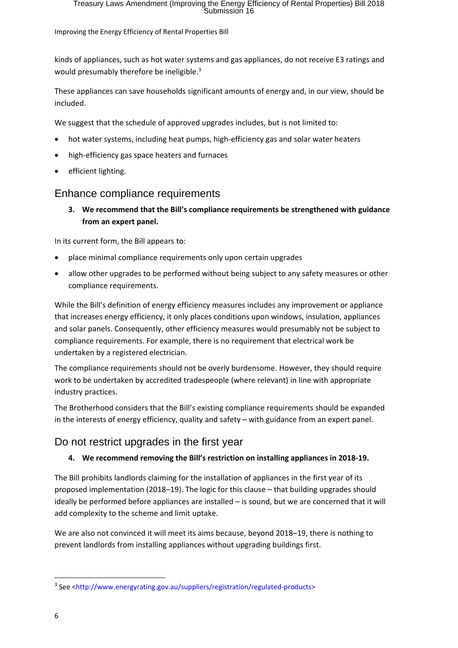kinds of appliances, such as hot water systems and gas appliances, do not receive E3 ratings and would presumably therefore be ineligible.<sup>3</sup>

These appliances can save households significant amounts of energy and, in our view, should be included.

We suggest that the schedule of approved upgrades includes, but is not limited to:

- hot water systems, including heat pumps, high‐efficiency gas and solar water heaters
- high-efficiency gas space heaters and furnaces
- efficient lighting.

#### Enhance compliance requirements

**3. We recommend that the Bill's compliance requirements be strengthened with guidance from an expert panel.**

In its current form, the Bill appears to:

- place minimal compliance requirements only upon certain upgrades
- allow other upgrades to be performed without being subject to any safety measures or other compliance requirements.

While the Bill's definition of energy efficiency measures includes any improvement or appliance that increases energy efficiency, it only places conditions upon windows, insulation, appliances and solar panels. Consequently, other efficiency measures would presumably not be subject to compliance requirements. For example, there is no requirement that electrical work be undertaken by a registered electrician.

The compliance requirements should not be overly burdensome. However, they should require work to be undertaken by accredited tradespeople (where relevant) in line with appropriate industry practices.

The Brotherhood considers that the Bill's existing compliance requirements should be expanded in the interests of energy efficiency, quality and safety – with guidance from an expert panel.

### Do not restrict upgrades in the first year

#### **4. We recommend removing the Bill's restriction on installing appliances in 2018‐19.**

The Bill prohibits landlords claiming for the installation of appliances in the first year of its proposed implementation (2018–19). The logic for this clause – that building upgrades should ideally be performed before appliances are installed – is sound, but we are concerned that it will add complexity to the scheme and limit uptake.

We are also not convinced it will meet its aims because, beyond 2018–19, there is nothing to prevent landlords from installing appliances without upgrading buildings first.

<u> Andrew Maria (1989)</u>

<sup>&</sup>lt;sup>3</sup> See <http://www.energyrating.gov.au/suppliers/registration/regulated-products>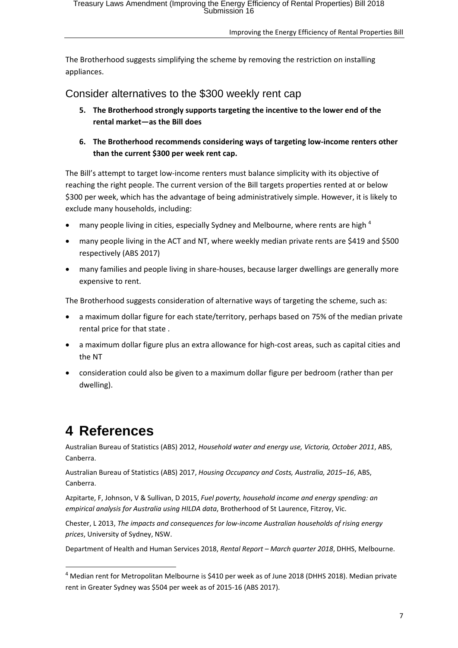The Brotherhood suggests simplifying the scheme by removing the restriction on installing appliances.

Consider alternatives to the \$300 weekly rent cap

- **5. The Brotherhood strongly supports targeting the incentive to the lower end of the rental market—as the Bill does**
- **6. The Brotherhood recommends considering ways of targeting low‐income renters other than the current \$300 per week rent cap.**

The Bill's attempt to target low‐income renters must balance simplicity with its objective of reaching the right people. The current version of the Bill targets properties rented at or below \$300 per week, which has the advantage of being administratively simple. However, it is likely to exclude many households, including:

- many people living in cities, especially Sydney and Melbourne, where rents are high 4
- many people living in the ACT and NT, where weekly median private rents are \$419 and \$500 respectively (ABS 2017)
- many families and people living in share-houses, because larger dwellings are generally more expensive to rent.

The Brotherhood suggests consideration of alternative ways of targeting the scheme, such as:

- a maximum dollar figure for each state/territory, perhaps based on 75% of the median private rental price for that state .
- a maximum dollar figure plus an extra allowance for high-cost areas, such as capital cities and the NT
- consideration could also be given to a maximum dollar figure per bedroom (rather than per dwelling).

# **4 References**

<u> 1989 - Johann Barn, mars eta bat erroman erroman erroman erroman erroman erroman erroman erroman erroman err</u>

Australian Bureau of Statistics (ABS) 2012, *Household water and energy use, Victoria, October 2011*, ABS, Canberra.

Australian Bureau of Statistics (ABS) 2017, *Housing Occupancy and Costs, Australia, 2015–16*, ABS, Canberra.

Azpitarte, F, Johnson, V & Sullivan, D 2015, *Fuel poverty, household income and energy spending: an empirical analysis for Australia using HILDA data*, Brotherhood of St Laurence, Fitzroy, Vic.

Chester, L 2013, *The impacts and consequences for low‐income Australian households of rising energy prices*, University of Sydney, NSW.

Department of Health and Human Services 2018, *Rental Report – March quarter 2018*, DHHS, Melbourne.

<sup>4</sup> Median rent for Metropolitan Melbourne is \$410 per week as of June 2018 (DHHS 2018). Median private rent in Greater Sydney was \$504 per week as of 2015‐16 (ABS 2017).